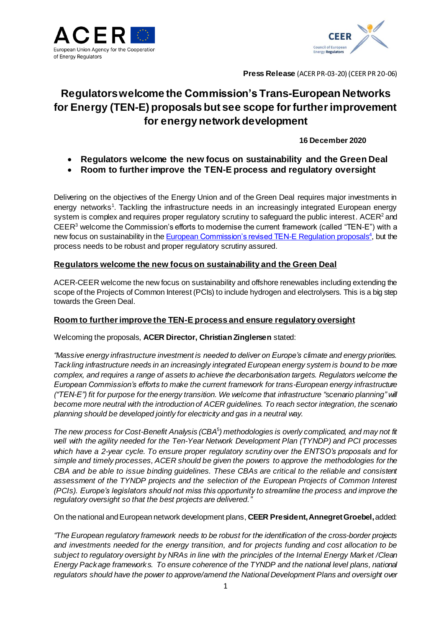



**Press Release** (ACER PR-03-20) (CEER PR 20-06)

# **Regulators welcome the Commission's Trans-European Networks for Energy (TEN-E) proposals but see scope for further improvement for energy network development**

## **16 December 2020**

- **Regulators welcome the new focus on sustainability and the Green Deal**
- **Room to further improve the TEN-E process and regulatory oversight**

Delivering on the objectives of the Energy Union and of the Green Deal requires major investments in energy network[s](#page-1-0)<sup>1</sup>. Tackling the infrastructure needs in an increasingly integrated European energy system is complex and requires proper requiatory scrutiny to safeguard the public interest. ACER<sup>2</sup> and CEER<sup>3</sup> welcome the Commission's efforts to modernise the current framework (called "TEN-E") with a new focus on sustainability in the [European Commission's revised TEN-E Regulation proposals](https://ec.europa.eu/commission/presscorner/detail/en/ip_20_2394)<sup>4</sup>, but the process needs to be robust and proper regulatory scrutiny assured.

# **Regulators welcome the new focus on sustainability and the Green Deal**

ACER-CEER welcome the new focus on sustainability and offshore renewables including extending the scope of the Projects of Common Interest (PCIs) to include hydrogen and electrolysers. This is a big step towards the Green Deal.

## **Room to further improve the TEN-E process and ensure regulatory oversight**

Welcoming the proposals, **ACER Director, Christian Zinglersen** stated:

*"Massive energy infrastructure investment is needed to deliver on Europe's climate and energy priorities. Tackling infrastructure needs in an increasingly integrated European energy system is bound to be more complex, and requires a range of assets to achieve the decarbonisation targets. Regulators welcome the European Commission's efforts to make the current framework for trans-European energy infrastructure ("TEN-E") fit for purpose for the energy transition. We welcome that infrastructure "scenario planning" will become more neutral with the introduction of ACER guidelines. To reach sector integration, the scenario planning should be developed jointly for electricity and gas in a neutral way.*

*The new process for Cost-Benefit Analysis (CBA*<sup>5</sup> *) methodologies is overly complicated, and may not fit well with the agility needed for the Ten-Year Network Development Plan (TYNDP) and PCI processes which have a 2-year cycle. To ensure proper regulatory scrutiny over the ENTSO's proposals and for simple and timely processes, ACER should be given the powers to approve the methodologies for the CBA and be able to issue binding guidelines. These CBAs are critical to the reliable and consistent assessment of the TYNDP projects and the selection of the European Projects of Common Interest (PCIs). Europe's legislators should not miss this opportunity to streamline the process and improve the regulatory oversight so that the best projects are delivered."*

On the national and European network development plans, **CEER President, Annegret Groebel,**added:

*"The European regulatory framework needs to be robust for the identification of the cross-border projects and investments needed for the energy transition, and for projects funding and cost allocation to be subject to regulatory oversight by NRAs in line with the principles of the Internal Energy Market /Clean Energy Package framework s. To ensure coherence of the TYNDP and the national level plans, national regulators should have the power to approve/amend the National Development Plans and oversight over*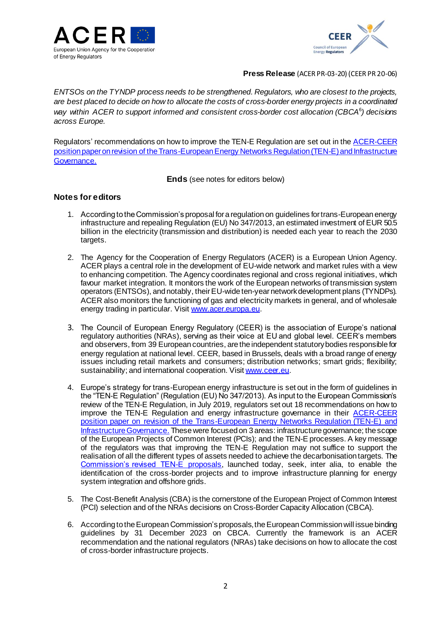



#### **Press Release** (ACER PR-03-20) (CEER PR 20-06)

*ENTSOs on the TYNDP process needs to be strengthened. Regulators, who are closest to the projects, are best placed to decide on how to allocate the costs of cross-border energy projects in a coordinated way within ACER to support informed and consistent cross-border cost allocation (CBCA*<sup>6</sup> *) decisions across Europe.*

Regulators' recommendations on how to improve the TEN-E Regulation are set out in the [ACER-CEER](https://www.ceer.eu/1913)  [position paper on revision of the Trans-European Energy Networks Regulation \(TEN-E\)and Infrastructure](https://www.ceer.eu/1913) [Governance.](https://www.ceer.eu/1913)

**Ends** (see notes for editors below)

## **Notes for editors**

- <span id="page-1-0"></span>1. According to the Commission's proposal for a regulation on guidelines for trans-European energy infrastructure and repealing Regulation (EU) No 347/2013, an estimated investment of EUR 50.5 billion in the electricity (transmission and distribution) is needed each year to reach the 2030 targets.
- 2. The Agency for the Cooperation of Energy Regulators (ACER) is a European Union Agency. ACER plays a central role in the development of EU-wide network and market rules with a view to enhancing competition. The Agency coordinates regional and cross regional initiatives, which favour market integration. It monitors the work of the European networks of transmission system operators (ENTSOs), and notably, their EU-wide ten-year network development plans (TYNDPs). ACER also monitors the functioning of gas and electricity markets in general, and of wholesale energy trading in particular. Visi[t www.acer.europa.eu](http://www.acer.europa.eu/).
- 3. The Council of European Energy Regulatory (CEER) is the association of Europe's national regulatory authorities (NRAs), serving as their voice at EU and global level. CEER's members and observers, from 39 European countries, are the independent statutory bodies responsible for energy regulation at national level. CEER, based in Brussels, deals with a broad range of energy issues including retail markets and consumers; distribution networks; smart grids; flexibility; sustainability; and international cooperation. Visi[t www.ceer.eu](http://www.ceer.eu/).
- 4. Europe's strategy for trans-European energy infrastructure is set out in the form of guidelines in the "TEN-E Regulation" (Regulation (EU) No 347/2013). As input to the European Commission's review of the TEN-E Regulation, in July 2019, regulators set out 18 recommendations on how to improve the TEN-E Regulation and energy infrastructure governance in their [ACER-CEER](https://www.ceer.eu/1913)  position paper on revision of the Trans-European Energy Networks Regulation (TEN-E) and [Infrastructure Governance.](https://www.ceer.eu/1913) These were focused on 3 areas: infrastructure governance; the scope of the European Projects of Common Interest (PCIs); and the TEN-E processes. A key message of the regulators was that improving the TEN-E Regulation may not suffice to support the realisation of all the different types of assets needed to achieve the decarbonisation targets. The [Commission's revised TEN-E proposals](https://ec.europa.eu/commission/presscorner/detail/en/ip_20_2394), launched today, seek, inter alia, to enable the identification of the cross-border projects and to improve infrastructure planning for energy system integration and offshore grids.
- 5. The Cost-Benefit Analysis (CBA) is the cornerstone of the European Project of Common Interest (PCI) selection and of the NRAs decisions on Cross-Border Capacity Allocation (CBCA).
- 6. According to the European Commission's proposals, the European Commission will issue binding guidelines by 31 December 2023 on CBCA. Currently the framework is an ACER recommendation and the national regulators (NRAs) take decisions on how to allocate the cost of cross-border infrastructure projects.